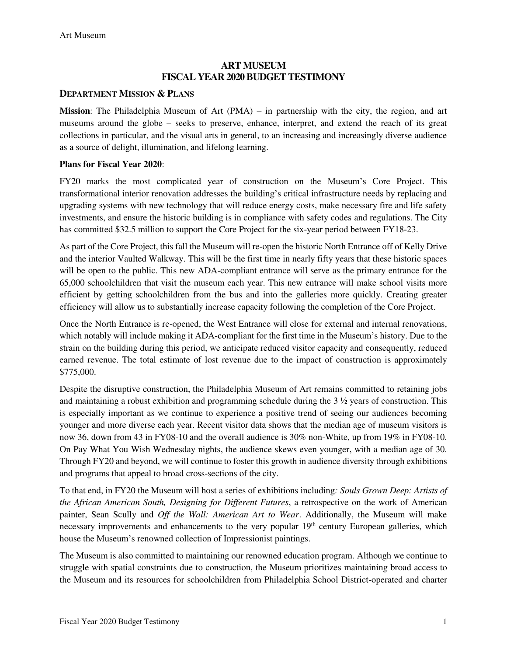### **ART MUSEUM FISCAL YEAR 2020 BUDGET TESTIMONY**

### **DEPARTMENT MISSION & PLANS**

**Mission**: The Philadelphia Museum of Art (PMA) – in partnership with the city, the region, and art museums around the globe – seeks to preserve, enhance, interpret, and extend the reach of its great collections in particular, and the visual arts in general, to an increasing and increasingly diverse audience as a source of delight, illumination, and lifelong learning.

#### **Plans for Fiscal Year 2020**:

FY20 marks the most complicated year of construction on the Museum's Core Project. This transformational interior renovation addresses the building's critical infrastructure needs by replacing and upgrading systems with new technology that will reduce energy costs, make necessary fire and life safety investments, and ensure the historic building is in compliance with safety codes and regulations. The City has committed \$32.5 million to support the Core Project for the six-year period between FY18-23.

As part of the Core Project, this fall the Museum will re-open the historic North Entrance off of Kelly Drive and the interior Vaulted Walkway. This will be the first time in nearly fifty years that these historic spaces will be open to the public. This new ADA-compliant entrance will serve as the primary entrance for the 65,000 schoolchildren that visit the museum each year. This new entrance will make school visits more efficient by getting schoolchildren from the bus and into the galleries more quickly. Creating greater efficiency will allow us to substantially increase capacity following the completion of the Core Project.

Once the North Entrance is re-opened, the West Entrance will close for external and internal renovations, which notably will include making it ADA-compliant for the first time in the Museum's history. Due to the strain on the building during this period, we anticipate reduced visitor capacity and consequently, reduced earned revenue. The total estimate of lost revenue due to the impact of construction is approximately \$775,000.

Despite the disruptive construction, the Philadelphia Museum of Art remains committed to retaining jobs and maintaining a robust exhibition and programming schedule during the 3 ½ years of construction. This is especially important as we continue to experience a positive trend of seeing our audiences becoming younger and more diverse each year. Recent visitor data shows that the median age of museum visitors is now 36, down from 43 in FY08-10 and the overall audience is 30% non-White, up from 19% in FY08-10. On Pay What You Wish Wednesday nights, the audience skews even younger, with a median age of 30. Through FY20 and beyond, we will continue to foster this growth in audience diversity through exhibitions and programs that appeal to broad cross-sections of the city.

To that end, in FY20 the Museum will host a series of exhibitions including*: Souls Grown Deep: Artists of the African American South, Designing for Different Futures*, a retrospective on the work of American painter, Sean Scully and *Off the Wall: American Art to Wear*. Additionally, the Museum will make necessary improvements and enhancements to the very popular  $19<sup>th</sup>$  century European galleries, which house the Museum's renowned collection of Impressionist paintings.

The Museum is also committed to maintaining our renowned education program. Although we continue to struggle with spatial constraints due to construction, the Museum prioritizes maintaining broad access to the Museum and its resources for schoolchildren from Philadelphia School District-operated and charter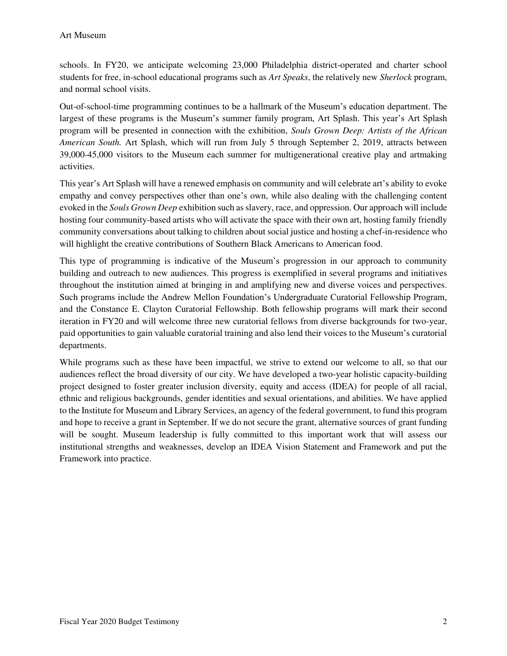schools. In FY20, we anticipate welcoming 23,000 Philadelphia district-operated and charter school students for free, in-school educational programs such as *Art Speaks*, the relatively new *Sherlock* program, and normal school visits.

Out-of-school-time programming continues to be a hallmark of the Museum's education department. The largest of these programs is the Museum's summer family program, Art Splash. This year's Art Splash program will be presented in connection with the exhibition, *Souls Grown Deep: Artists of the African American South.* Art Splash, which will run from July 5 through September 2, 2019, attracts between 39,000-45,000 visitors to the Museum each summer for multigenerational creative play and artmaking activities.

This year's Art Splash will have a renewed emphasis on community and will celebrate art's ability to evoke empathy and convey perspectives other than one's own, while also dealing with the challenging content evoked in the *Souls Grown Deep* exhibition such as slavery, race, and oppression. Our approach will include hosting four community-based artists who will activate the space with their own art, hosting family friendly community conversations about talking to children about social justice and hosting a chef-in-residence who will highlight the creative contributions of Southern Black Americans to American food.

This type of programming is indicative of the Museum's progression in our approach to community building and outreach to new audiences. This progress is exemplified in several programs and initiatives throughout the institution aimed at bringing in and amplifying new and diverse voices and perspectives. Such programs include the Andrew Mellon Foundation's Undergraduate Curatorial Fellowship Program, and the Constance E. Clayton Curatorial Fellowship. Both fellowship programs will mark their second iteration in FY20 and will welcome three new curatorial fellows from diverse backgrounds for two-year, paid opportunities to gain valuable curatorial training and also lend their voices to the Museum's curatorial departments.

While programs such as these have been impactful, we strive to extend our welcome to all, so that our audiences reflect the broad diversity of our city. We have developed a two-year holistic capacity-building project designed to foster greater inclusion diversity, equity and access (IDEA) for people of all racial, ethnic and religious backgrounds, gender identities and sexual orientations, and abilities. We have applied to the Institute for Museum and Library Services, an agency of the federal government, to fund this program and hope to receive a grant in September. If we do not secure the grant, alternative sources of grant funding will be sought. Museum leadership is fully committed to this important work that will assess our institutional strengths and weaknesses, develop an IDEA Vision Statement and Framework and put the Framework into practice.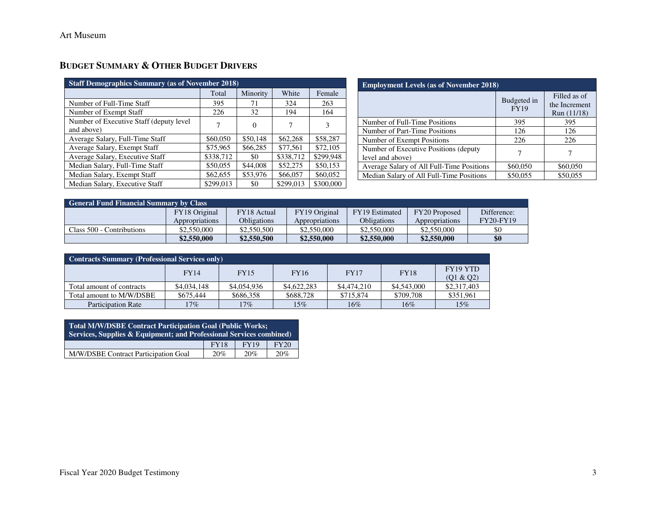# **BUDGET SUMMARY & OTHER BUDGET DRIVERS**

| <b>Staff Demographics Summary (as of November 2018)</b> |           |          |           |           |  |  |  |  |  |  |
|---------------------------------------------------------|-----------|----------|-----------|-----------|--|--|--|--|--|--|
|                                                         | Total     | Minority | White     | Female    |  |  |  |  |  |  |
| Number of Full-Time Staff                               | 395       | 71       | 324       | 263       |  |  |  |  |  |  |
| Number of Exempt Staff                                  | 226       | 32       | 194       | 164       |  |  |  |  |  |  |
| Number of Executive Staff (deputy level)<br>and above)  |           | $\theta$ | 7         | 3         |  |  |  |  |  |  |
| Average Salary, Full-Time Staff                         | \$60,050  | \$50,148 | \$62,268  | \$58,287  |  |  |  |  |  |  |
| Average Salary, Exempt Staff                            | \$75,965  | \$66,285 | \$77,561  | \$72,105  |  |  |  |  |  |  |
| Average Salary, Executive Staff                         | \$338,712 | \$0      | \$338,712 | \$299,948 |  |  |  |  |  |  |
| Median Salary, Full-Time Staff                          | \$50,055  | \$44,008 | \$52,275  | \$50,153  |  |  |  |  |  |  |
| Median Salary, Exempt Staff                             | \$62,655  | \$53,976 | \$66,057  | \$60,052  |  |  |  |  |  |  |
| Median Salary, Executive Staff                          | \$299,013 | \$0      | \$299,013 | \$300,000 |  |  |  |  |  |  |

| <b>Employment Levels (as of November 2018)</b>             |                            |                                              |  |  |  |  |  |  |
|------------------------------------------------------------|----------------------------|----------------------------------------------|--|--|--|--|--|--|
|                                                            | Budgeted in<br><b>FY19</b> | Filled as of<br>the Increment<br>Run (11/18) |  |  |  |  |  |  |
| Number of Full-Time Positions                              | 395                        | 395                                          |  |  |  |  |  |  |
| Number of Part-Time Positions                              | 126                        | 126                                          |  |  |  |  |  |  |
| Number of Exempt Positions                                 | 226                        | 226                                          |  |  |  |  |  |  |
| Number of Executive Positions (deputy)<br>level and above) |                            |                                              |  |  |  |  |  |  |
| Average Salary of All Full-Time Positions                  | \$60,050                   | \$60,050                                     |  |  |  |  |  |  |
| Median Salary of All Full-Time Positions                   | \$50,055                   | \$50,055                                     |  |  |  |  |  |  |

| <b>General Fund Financial Summary by Class</b> |                |                    |                |                    |                |                  |  |  |  |
|------------------------------------------------|----------------|--------------------|----------------|--------------------|----------------|------------------|--|--|--|
|                                                | FY18 Original  | FY18 Actual        | FY19 Original  | FY19 Estimated     | FY20 Proposed  | Difference:      |  |  |  |
|                                                | Appropriations | <b>Obligations</b> | Appropriations | <b>Obligations</b> | Appropriations | <b>FY20-FY19</b> |  |  |  |
| Class 500 - Contributions                      | \$2,550,000    | \$2,550,500        | \$2,550,000    | \$2,550,000        | \$2,550,000    | \$0              |  |  |  |
|                                                | \$2,550,000    | \$2,550,500        | \$2,550,000    | \$2,550,000        | \$2,550,000    | \$0              |  |  |  |

| <b>Contracts Summary (Professional Services only)</b> |             |             |             |             |             |                          |  |  |  |  |
|-------------------------------------------------------|-------------|-------------|-------------|-------------|-------------|--------------------------|--|--|--|--|
|                                                       | <b>FY14</b> | <b>FY15</b> | <b>FY16</b> | <b>FY17</b> | <b>FY18</b> | FY19 YTD                 |  |  |  |  |
| Total amount of contracts                             | \$4,034,148 | \$4,054,936 | \$4,622,283 | \$4,474,210 | \$4,543,000 | (Q1 & Q2)<br>\$2,317,403 |  |  |  |  |
| Total amount to M/W/DSBE                              | \$675.444   | \$686,358   | \$688.728   | \$715.874   | \$709.708   | \$351.961                |  |  |  |  |
| <b>Participation Rate</b>                             | 17%         | 17%         | 15%         | $16\%$      | 16%         | 15%                      |  |  |  |  |

| <b>Total M/W/DSBE Contract Participation Goal (Public Works;</b><br>Services, Supplies & Equipment; and Professional Services combined) |  |  |  |  |  |  |  |  |  |
|-----------------------------------------------------------------------------------------------------------------------------------------|--|--|--|--|--|--|--|--|--|
| <b>FY20</b><br><b>FY19</b><br><b>FY18</b>                                                                                               |  |  |  |  |  |  |  |  |  |
| M/W/DSBE Contract Participation Goal<br>20%<br>20%<br>20%                                                                               |  |  |  |  |  |  |  |  |  |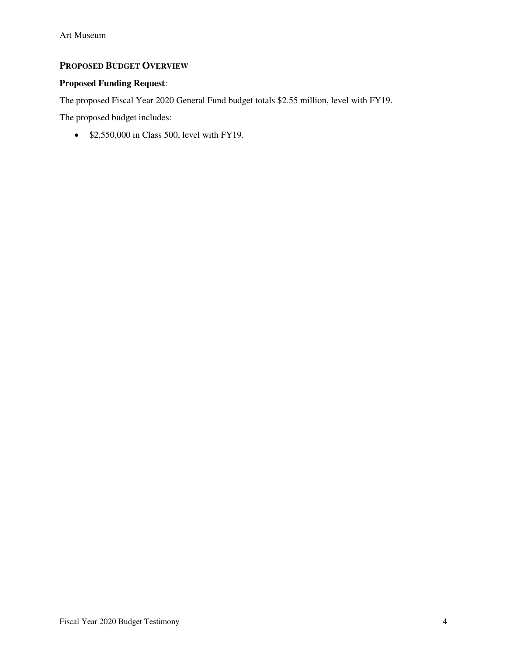### **PROPOSED BUDGET OVERVIEW**

### **Proposed Funding Request**:

The proposed Fiscal Year 2020 General Fund budget totals \$2.55 million, level with FY19.

The proposed budget includes:

• \$2,550,000 in Class 500, level with FY19.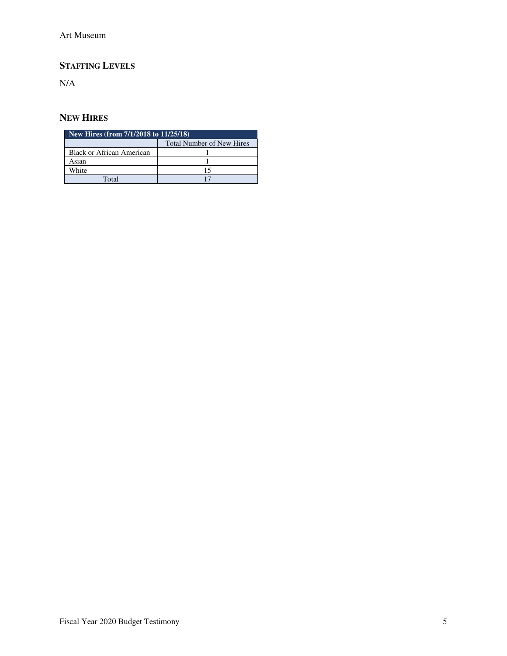# **STAFFING LEVELS**

N/A

### **NEW HIRES**

| New Hires (from 7/1/2018 to 11/25/18) |                                  |  |  |  |  |  |  |
|---------------------------------------|----------------------------------|--|--|--|--|--|--|
|                                       | <b>Total Number of New Hires</b> |  |  |  |  |  |  |
| <b>Black or African American</b>      |                                  |  |  |  |  |  |  |
| Asian                                 |                                  |  |  |  |  |  |  |
| White                                 |                                  |  |  |  |  |  |  |
| Total                                 |                                  |  |  |  |  |  |  |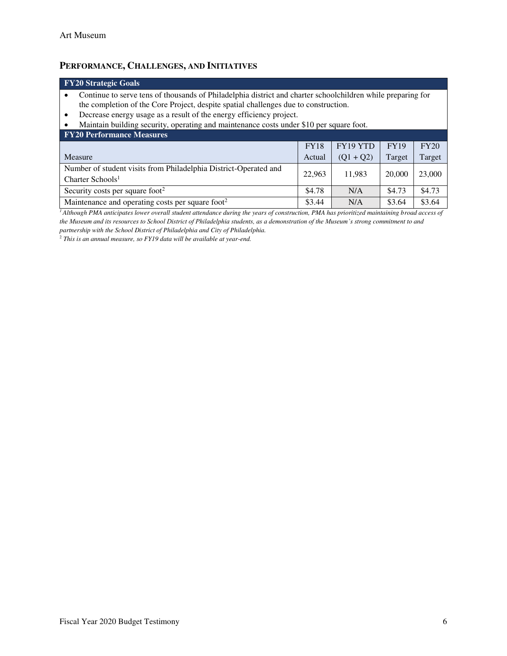## **PERFORMANCE, CHALLENGES, AND INITIATIVES**

| <b>FY20 Strategic Goals</b>                                                                                 |
|-------------------------------------------------------------------------------------------------------------|
| Continue to serve tens of thousands of Philadelphia district and charter schoolchildren while preparing for |
| the completion of the Core Project, despite spatial challenges due to construction.                         |
| Decrease energy usage as a result of the energy efficiency project.                                         |
| Maintain building security, operating and maintenance costs under \$10 per square foot.                     |

| <b>FY20 Performance Measures</b>                                 |             |             |             |        |  |  |  |  |  |  |  |
|------------------------------------------------------------------|-------------|-------------|-------------|--------|--|--|--|--|--|--|--|
|                                                                  | <b>FY18</b> | FY19 YTD    | <b>FY19</b> | FY20   |  |  |  |  |  |  |  |
| Measure                                                          | Actual      | $(Q1 + Q2)$ | Target      | Target |  |  |  |  |  |  |  |
| Number of student visits from Philadelphia District-Operated and | 22,963      | 11.983      | 20,000      | 23,000 |  |  |  |  |  |  |  |
| Charter Schools <sup>1</sup>                                     |             |             |             |        |  |  |  |  |  |  |  |
| Security costs per square foot <sup>2</sup>                      | \$4.78      | N/A         | \$4.73      | \$4.73 |  |  |  |  |  |  |  |
| Maintenance and operating costs per square foot <sup>2</sup>     | \$3.44      | N/A         | \$3.64      | \$3.64 |  |  |  |  |  |  |  |

<sup>1</sup>*Although PMA anticipates lower overall student attendance during the years of construction, PMA has prioritized maintaining broad access of the Museum and its resources to School District of Philadelphia students, as a demonstration of the Museum's strong commitment to and partnership with the School District of Philadelphia and City of Philadelphia.* 

<sup>2</sup> *This is an annual measure, so FY19 data will be available at year-end.*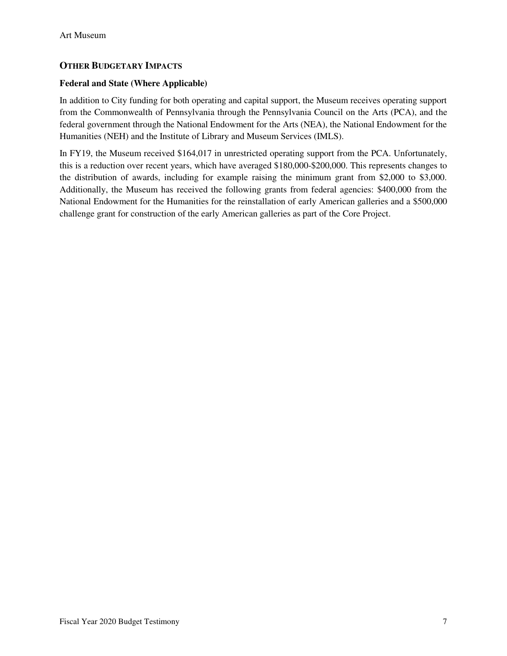### **OTHER BUDGETARY IMPACTS**

#### **Federal and State (Where Applicable)**

In addition to City funding for both operating and capital support, the Museum receives operating support from the Commonwealth of Pennsylvania through the Pennsylvania Council on the Arts (PCA), and the federal government through the National Endowment for the Arts (NEA), the National Endowment for the Humanities (NEH) and the Institute of Library and Museum Services (IMLS).

In FY19, the Museum received \$164,017 in unrestricted operating support from the PCA. Unfortunately, this is a reduction over recent years, which have averaged \$180,000-\$200,000. This represents changes to the distribution of awards, including for example raising the minimum grant from \$2,000 to \$3,000. Additionally, the Museum has received the following grants from federal agencies: \$400,000 from the National Endowment for the Humanities for the reinstallation of early American galleries and a \$500,000 challenge grant for construction of the early American galleries as part of the Core Project.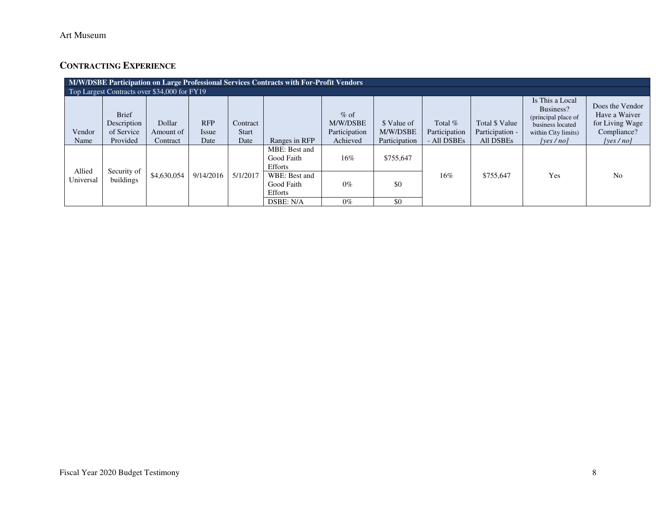## **CONTRACTING EXPERIENCE**

|                                              | M/W/DSBE Participation on Large Professional Services Contracts with For-Profit Vendors |                                 |                             |                           |                                        |                                                 |                                          |                                           |                                                |                                                                                                            |                                                                                |
|----------------------------------------------|-----------------------------------------------------------------------------------------|---------------------------------|-----------------------------|---------------------------|----------------------------------------|-------------------------------------------------|------------------------------------------|-------------------------------------------|------------------------------------------------|------------------------------------------------------------------------------------------------------------|--------------------------------------------------------------------------------|
| Top Largest Contracts over \$34,000 for FY19 |                                                                                         |                                 |                             |                           |                                        |                                                 |                                          |                                           |                                                |                                                                                                            |                                                                                |
| Vendor<br>Name                               | <b>Brief</b><br>Description<br>of Service<br>Provided                                   | Dollar<br>Amount of<br>Contract | <b>RFP</b><br>Issue<br>Date | Contract<br>Start<br>Date | Ranges in RFP                          | $%$ of<br>M/W/DSBE<br>Participation<br>Achieved | \$ Value of<br>M/W/DSBE<br>Participation | Total $%$<br>Participation<br>- All DSBEs | Total \$ Value<br>Participation -<br>All DSBEs | Is This a Local<br>Business?<br>(principal place of<br>business located<br>within City limits)<br>[ves/no] | Does the Vendor<br>Have a Waiver<br>for Living Wage<br>Compliance?<br>[yes/no] |
|                                              |                                                                                         |                                 |                             |                           | MBE: Best and<br>Good Faith<br>Efforts | $16\%$                                          | \$755,647                                |                                           |                                                |                                                                                                            |                                                                                |
| Allied<br>Universal                          | Security of<br>buildings                                                                | \$4,630,054                     | 9/14/2016                   | 5/1/2017                  | WBE: Best and<br>Good Faith<br>Efforts | $0\%$                                           | \$0                                      | 16%                                       | \$755,647                                      | Yes                                                                                                        | N <sub>0</sub>                                                                 |
|                                              |                                                                                         |                                 |                             |                           | DSBE: N/A                              | $0\%$                                           | \$0                                      |                                           |                                                |                                                                                                            |                                                                                |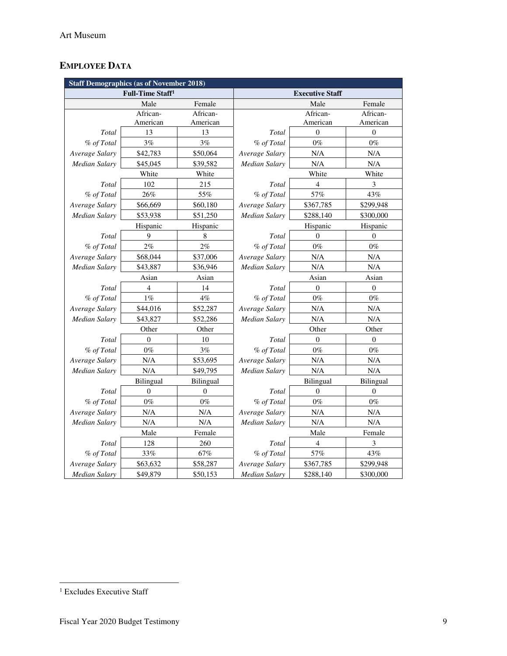# **EMPLOYEE DATA**

| <b>Staff Demographics (as of November 2018)</b> |                              |                  |                      |                        |                  |  |  |  |  |
|-------------------------------------------------|------------------------------|------------------|----------------------|------------------------|------------------|--|--|--|--|
|                                                 | Full-Time Staff <sup>1</sup> |                  |                      | <b>Executive Staff</b> |                  |  |  |  |  |
|                                                 | Male                         | Female           |                      | Male                   | Female           |  |  |  |  |
|                                                 | African-                     | African-         |                      | African-               | African-         |  |  |  |  |
|                                                 | American                     | American         |                      | American               | American         |  |  |  |  |
| Total                                           | 13                           | 13               | Total                | $\mathbf{0}$           | $\boldsymbol{0}$ |  |  |  |  |
| % of Total                                      | 3%                           | 3%               | % of Total           | $0\%$                  | $0\%$            |  |  |  |  |
| Average Salary                                  | \$42,783                     | \$50,064         | Average Salary       | N/A                    | N/A              |  |  |  |  |
| Median Salary                                   | \$45,045                     | \$39,582         | <b>Median Salary</b> | N/A                    | N/A              |  |  |  |  |
|                                                 | White                        | White            |                      | White                  | White            |  |  |  |  |
| Total                                           | 102                          | 215              | Total                | $\overline{4}$         | 3                |  |  |  |  |
| % of Total                                      | 26%                          | 55%              | % of Total           | 57%                    | 43%              |  |  |  |  |
| Average Salary                                  | \$66,669                     | \$60,180         | Average Salary       | \$367,785              | \$299,948        |  |  |  |  |
| Median Salary                                   | \$53,938                     | \$51,250         | Median Salary        | \$288,140              | \$300,000        |  |  |  |  |
|                                                 | Hispanic                     | Hispanic         |                      | Hispanic               | Hispanic         |  |  |  |  |
| Total                                           | 9                            | $\,8\,$          | Total                | $\Omega$               | $\Omega$         |  |  |  |  |
| % of Total                                      | 2%                           | 2%               | % of Total           | $0\%$                  | $0\%$            |  |  |  |  |
| Average Salary                                  | \$68,044                     | \$37,006         | Average Salary       | N/A                    | N/A              |  |  |  |  |
| Median Salary                                   | \$43,887                     | \$36,946         | Median Salary        | N/A                    | N/A              |  |  |  |  |
|                                                 | Asian                        | Asian            |                      | Asian                  | Asian            |  |  |  |  |
| Total                                           | $\overline{4}$               | 14               | Total                | $\mathbf{0}$           | $\mathbf{0}$     |  |  |  |  |
| % of Total                                      | $1\%$                        | $4\%$            | % of Total           | $0\%$                  | $0\%$            |  |  |  |  |
| Average Salary                                  | \$44,016                     | \$52,287         | Average Salary       | N/A                    | $\rm N/A$        |  |  |  |  |
| Median Salary                                   | \$43,827                     | \$52,286         | Median Salary        | N/A                    | N/A              |  |  |  |  |
|                                                 | Other                        | Other            |                      | Other                  | Other            |  |  |  |  |
| Total                                           | $\theta$                     | 10               | Total                | $\theta$               | $\Omega$         |  |  |  |  |
| % of Total                                      | $0\%$                        | 3%               | % of Total           | $0\%$                  | $0\%$            |  |  |  |  |
| Average Salary                                  | $\rm N/A$                    | \$53,695         | Average Salary       | N/A                    | N/A              |  |  |  |  |
| Median Salary                                   | N/A                          | \$49,795         | Median Salary        | N/A                    | N/A              |  |  |  |  |
|                                                 | Bilingual                    | Bilingual        |                      | Bilingual              | Bilingual        |  |  |  |  |
| Total                                           | $\boldsymbol{0}$             | $\boldsymbol{0}$ | Total                | $\mathbf{0}$           | $\boldsymbol{0}$ |  |  |  |  |
| % of Total                                      | $0\%$                        | $0\%$            | % of Total           | $0\%$                  | $0\%$            |  |  |  |  |
| Average Salary                                  | N/A                          | N/A              | Average Salary       | N/A                    | N/A              |  |  |  |  |
| Median Salary                                   | N/A                          | N/A              | Median Salary        | N/A                    | $\rm N/A$        |  |  |  |  |
|                                                 | Male                         | Female           | Male                 |                        | Female           |  |  |  |  |
| Total                                           | 128                          | 260              | Total                | $\overline{4}$         | 3                |  |  |  |  |
| % of Total                                      | 33%                          | 67%              | % of Total           | 57%                    | 43%              |  |  |  |  |
| Average Salary                                  | \$63,632                     | \$58,287         | Average Salary       | \$367,785              | \$299,948        |  |  |  |  |
| Median Salary                                   | \$49,879                     | \$50,153         | Median Salary        | \$288,140              | \$300,000        |  |  |  |  |

 1 Excludes Executive Staff